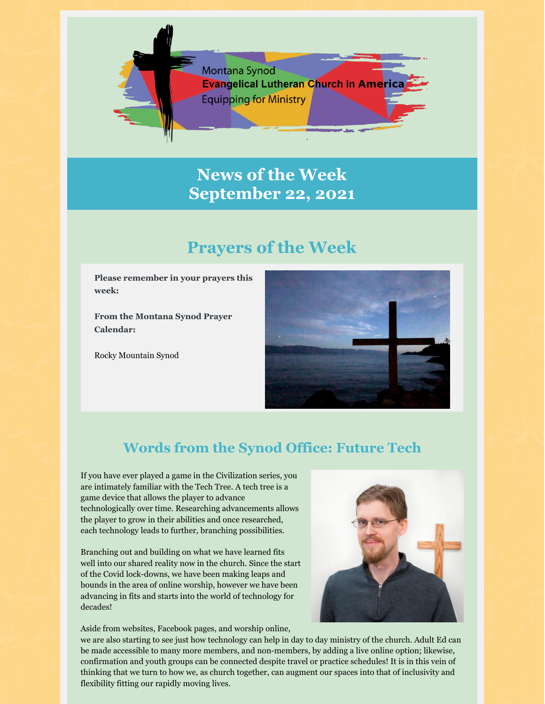

# **News of the Week September 22, 2021**

# **Prayers of the Week**

**Please remember in your prayers this week:**

**From the Montana Synod Prayer Calendar:**

Rocky Mountain Synod



## **Words from the Synod Office: Future Tech**

If you have ever played a game in the Civilization series, you are intimately familiar with the Tech Tree. A tech tree is a game device that allows the player to advance technologically over time. Researching advancements allows the player to grow in their abilities and once researched, each technology leads to further, branching possibilities.

Branching out and building on what we have learned fits well into our shared reality now in the church. Since the start of the Covid lock-downs, we have been making leaps and bounds in the area of online worship, however we have been advancing in fits and starts into the world of technology for decades!



Aside from websites, Facebook pages, and worship online,

we are also starting to see just how technology can help in day to day ministry of the church. Adult Ed can be made accessible to many more members, and non-members, by adding a live online option; likewise, confirmation and youth groups can be connected despite travel or practice schedules! It is in this vein of thinking that we turn to how we, as church together, can augment our spaces into that of inclusivity and flexibility fitting our rapidly moving lives.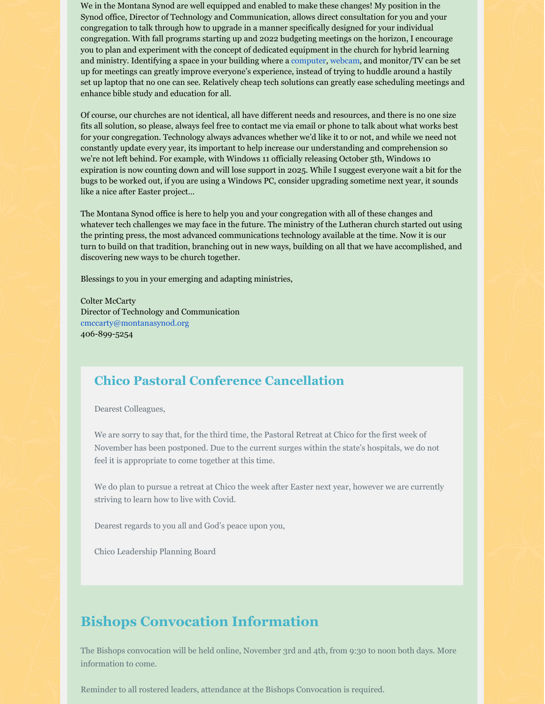We in the Montana Synod are well equipped and enabled to make these changes! My position in the Synod office, Director of Technology and Communication, allows direct consultation for you and your congregation to talk through how to upgrade in a manner specifically designed for your individual congregation. With fall programs starting up and 2022 budgeting meetings on the horizon, I encourage you to plan and experiment with the concept of dedicated equipment in the church for hybrid learning and ministry. Identifying a space in your building where a computer, webcam, and monitor/TV can be set up for meetings can greatly improve everyone's experience, instead of trying to huddle around a hastily set up laptop that no one can see. Relatively cheap tech solutions can greatly ease scheduling meetings and enhance bible study and education for all.

Of course, our churches are not identical, all have different needs and resources, and there is no one size fits all solution, so please, always feel free to contact me via email or phone to talk about what works best for your congregation. Technology always advances whether we'd like it to or not, and while we need not constantly update every year, its important to help increase our understanding and comprehension so we're not left behind. For example, with Windows 11 officially releasing October 5th, Windows 10 expiration is now counting down and will lose support in 2025. While I suggest everyone wait a bit for the bugs to be worked out, if you are using a Windows PC, consider upgrading sometime next year, it sounds like a nice after Easter project…

The Montana Synod office is here to help you and your congregation with all of these changes and whatever tech challenges we may face in the future. The ministry of the Lutheran church started out using the printing press, the most advanced communications technology available at the time. Now it is our turn to build on that tradition, branching out in new ways, building on all that we have accomplished, and discovering new ways to be church together.

Blessings to you in your emerging and adapting ministries,

Colter McCarty Director of Technology and Communication cmccarty@montanasynod.org 406-899-5254

#### **Chico Pastoral Conference Cancellation**

Dearest Colleagues,

We are sorry to say that, for the third time, the Pastoral Retreat at Chico for the first week of November has been postponed. Due to the current surges within the state's hospitals, we do not feel it is appropriate to come together at this time.

We do plan to pursue a retreat at Chico the week after Easter next year, however we are currently striving to learn how to live with Covid.

Dearest regards to you all and God's peace upon you,

Chico Leadership Planning Board

### **Bishops Convocation Information**

The Bishops convocation will be held online, November 3rd and 4th, from 9:30 to noon both days. More information to come.

Reminder to all rostered leaders, attendance at the Bishops Convocation is required.